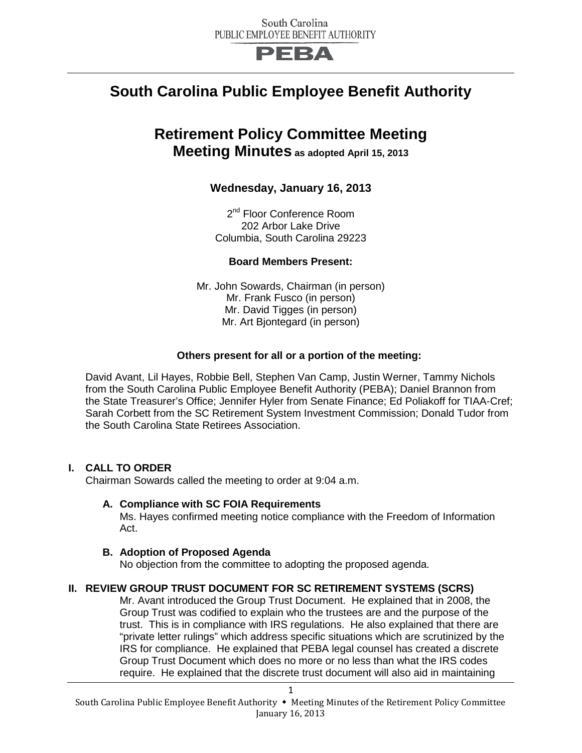

# **South Carolina Public Employee Benefit Authority**

## **Retirement Policy Committee Meeting Meeting Minutes as adopted April 15, 2013**

## **Wednesday, January 16, 2013**

2<sup>nd</sup> Floor Conference Room 202 Arbor Lake Drive Columbia, South Carolina 29223

## **Board Members Present:**

Mr. John Sowards, Chairman (in person) Mr. Frank Fusco (in person) Mr. David Tigges (in person) Mr. Art Bjontegard (in person)

#### **Others present for all or a portion of the meeting:**

David Avant, Lil Hayes, Robbie Bell, Stephen Van Camp, Justin Werner, Tammy Nichols from the South Carolina Public Employee Benefit Authority (PEBA); Daniel Brannon from the State Treasurer's Office; Jennifer Hyler from Senate Finance; Ed Poliakoff for TIAA-Cref; Sarah Corbett from the SC Retirement System Investment Commission; Donald Tudor from the South Carolina State Retirees Association.

## **I. CALL TO ORDER**

Chairman Sowards called the meeting to order at 9:04 a.m.

#### **A. Compliance with SC FOIA Requirements**

Ms. Hayes confirmed meeting notice compliance with the Freedom of Information Act.

#### **B. Adoption of Proposed Agenda**

No objection from the committee to adopting the proposed agenda.

## **II. REVIEW GROUP TRUST DOCUMENT FOR SC RETIREMENT SYSTEMS (SCRS)**

Mr. Avant introduced the Group Trust Document. He explained that in 2008, the Group Trust was codified to explain who the trustees are and the purpose of the trust. This is in compliance with IRS regulations. He also explained that there are "private letter rulings" which address specific situations which are scrutinized by the IRS for compliance. He explained that PEBA legal counsel has created a discrete Group Trust Document which does no more or no less than what the IRS codes require. He explained that the discrete trust document will also aid in maintaining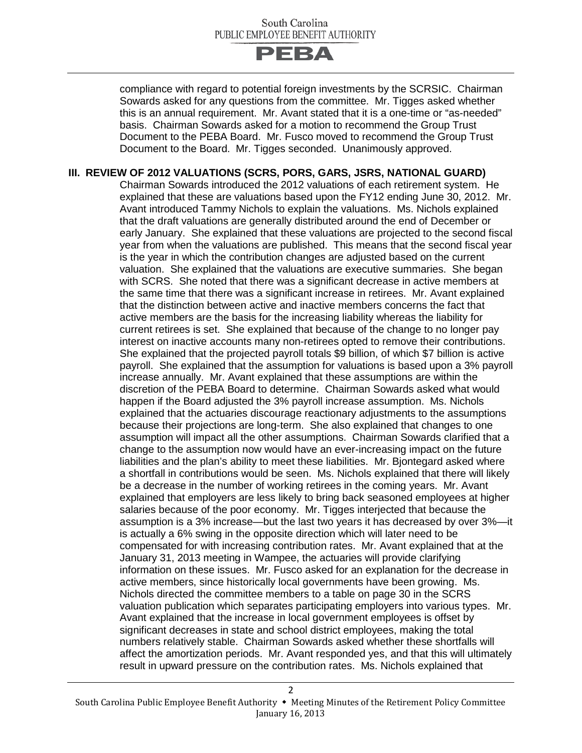

compliance with regard to potential foreign investments by the SCRSIC. Chairman Sowards asked for any questions from the committee. Mr. Tigges asked whether this is an annual requirement. Mr. Avant stated that it is a one-time or "as-needed" basis. Chairman Sowards asked for a motion to recommend the Group Trust Document to the PEBA Board. Mr. Fusco moved to recommend the Group Trust Document to the Board. Mr. Tigges seconded. Unanimously approved.

#### **III. REVIEW OF 2012 VALUATIONS (SCRS, PORS, GARS, JSRS, NATIONAL GUARD)**

Chairman Sowards introduced the 2012 valuations of each retirement system. He explained that these are valuations based upon the FY12 ending June 30, 2012. Mr. Avant introduced Tammy Nichols to explain the valuations. Ms. Nichols explained that the draft valuations are generally distributed around the end of December or early January. She explained that these valuations are projected to the second fiscal year from when the valuations are published. This means that the second fiscal year is the year in which the contribution changes are adjusted based on the current valuation. She explained that the valuations are executive summaries. She began with SCRS. She noted that there was a significant decrease in active members at the same time that there was a significant increase in retirees. Mr. Avant explained that the distinction between active and inactive members concerns the fact that active members are the basis for the increasing liability whereas the liability for current retirees is set. She explained that because of the change to no longer pay interest on inactive accounts many non-retirees opted to remove their contributions. She explained that the projected payroll totals \$9 billion, of which \$7 billion is active payroll. She explained that the assumption for valuations is based upon a 3% payroll increase annually. Mr. Avant explained that these assumptions are within the discretion of the PEBA Board to determine. Chairman Sowards asked what would happen if the Board adjusted the 3% payroll increase assumption. Ms. Nichols explained that the actuaries discourage reactionary adjustments to the assumptions because their projections are long-term. She also explained that changes to one assumption will impact all the other assumptions. Chairman Sowards clarified that a change to the assumption now would have an ever-increasing impact on the future liabilities and the plan's ability to meet these liabilities. Mr. Bjontegard asked where a shortfall in contributions would be seen. Ms. Nichols explained that there will likely be a decrease in the number of working retirees in the coming years. Mr. Avant explained that employers are less likely to bring back seasoned employees at higher salaries because of the poor economy. Mr. Tigges interjected that because the assumption is a 3% increase—but the last two years it has decreased by over 3%—it is actually a 6% swing in the opposite direction which will later need to be compensated for with increasing contribution rates. Mr. Avant explained that at the January 31, 2013 meeting in Wampee, the actuaries will provide clarifying information on these issues. Mr. Fusco asked for an explanation for the decrease in active members, since historically local governments have been growing. Ms. Nichols directed the committee members to a table on page 30 in the SCRS valuation publication which separates participating employers into various types. Mr. Avant explained that the increase in local government employees is offset by significant decreases in state and school district employees, making the total numbers relatively stable. Chairman Sowards asked whether these shortfalls will affect the amortization periods. Mr. Avant responded yes, and that this will ultimately result in upward pressure on the contribution rates. Ms. Nichols explained that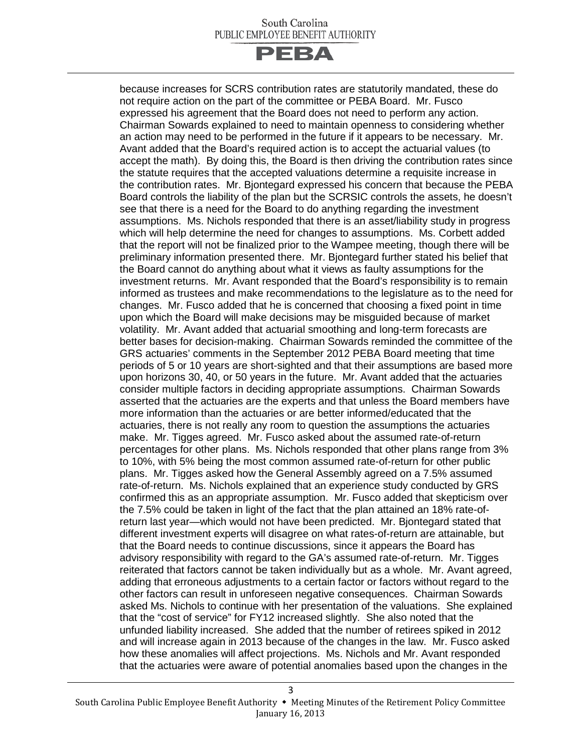

because increases for SCRS contribution rates are statutorily mandated, these do not require action on the part of the committee or PEBA Board. Mr. Fusco expressed his agreement that the Board does not need to perform any action. Chairman Sowards explained to need to maintain openness to considering whether an action may need to be performed in the future if it appears to be necessary. Mr. Avant added that the Board's required action is to accept the actuarial values (to accept the math). By doing this, the Board is then driving the contribution rates since the statute requires that the accepted valuations determine a requisite increase in the contribution rates. Mr. Bjontegard expressed his concern that because the PEBA Board controls the liability of the plan but the SCRSIC controls the assets, he doesn't see that there is a need for the Board to do anything regarding the investment assumptions. Ms. Nichols responded that there is an asset/liability study in progress which will help determine the need for changes to assumptions. Ms. Corbett added that the report will not be finalized prior to the Wampee meeting, though there will be preliminary information presented there. Mr. Bjontegard further stated his belief that the Board cannot do anything about what it views as faulty assumptions for the investment returns. Mr. Avant responded that the Board's responsibility is to remain informed as trustees and make recommendations to the legislature as to the need for changes. Mr. Fusco added that he is concerned that choosing a fixed point in time upon which the Board will make decisions may be misguided because of market volatility. Mr. Avant added that actuarial smoothing and long-term forecasts are better bases for decision-making. Chairman Sowards reminded the committee of the GRS actuaries' comments in the September 2012 PEBA Board meeting that time periods of 5 or 10 years are short-sighted and that their assumptions are based more upon horizons 30, 40, or 50 years in the future. Mr. Avant added that the actuaries consider multiple factors in deciding appropriate assumptions. Chairman Sowards asserted that the actuaries are the experts and that unless the Board members have more information than the actuaries or are better informed/educated that the actuaries, there is not really any room to question the assumptions the actuaries make. Mr. Tigges agreed. Mr. Fusco asked about the assumed rate-of-return percentages for other plans. Ms. Nichols responded that other plans range from 3% to 10%, with 5% being the most common assumed rate-of-return for other public plans. Mr. Tigges asked how the General Assembly agreed on a 7.5% assumed rate-of-return. Ms. Nichols explained that an experience study conducted by GRS confirmed this as an appropriate assumption. Mr. Fusco added that skepticism over the 7.5% could be taken in light of the fact that the plan attained an 18% rate-ofreturn last year—which would not have been predicted. Mr. Bjontegard stated that different investment experts will disagree on what rates-of-return are attainable, but that the Board needs to continue discussions, since it appears the Board has advisory responsibility with regard to the GA's assumed rate-of-return. Mr. Tigges reiterated that factors cannot be taken individually but as a whole. Mr. Avant agreed, adding that erroneous adjustments to a certain factor or factors without regard to the other factors can result in unforeseen negative consequences. Chairman Sowards asked Ms. Nichols to continue with her presentation of the valuations. She explained that the "cost of service" for FY12 increased slightly. She also noted that the unfunded liability increased. She added that the number of retirees spiked in 2012 and will increase again in 2013 because of the changes in the law. Mr. Fusco asked how these anomalies will affect projections. Ms. Nichols and Mr. Avant responded that the actuaries were aware of potential anomalies based upon the changes in the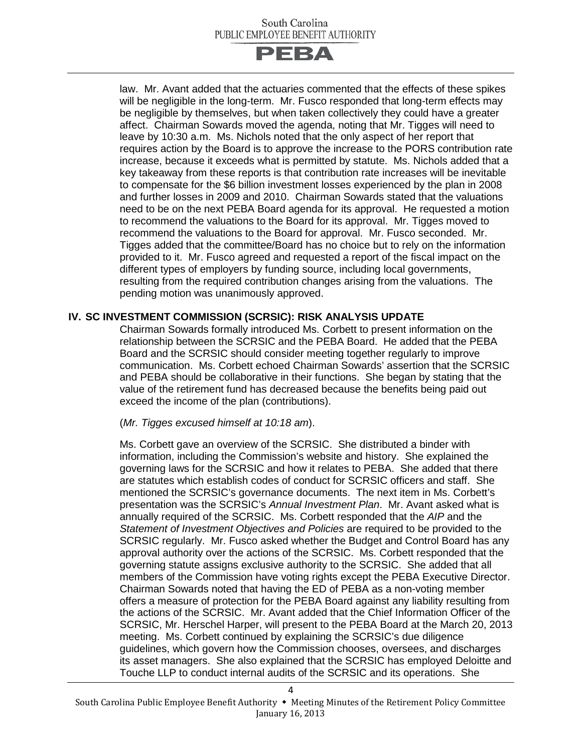

law. Mr. Avant added that the actuaries commented that the effects of these spikes will be negligible in the long-term. Mr. Fusco responded that long-term effects may be negligible by themselves, but when taken collectively they could have a greater affect. Chairman Sowards moved the agenda, noting that Mr. Tigges will need to leave by 10:30 a.m. Ms. Nichols noted that the only aspect of her report that requires action by the Board is to approve the increase to the PORS contribution rate increase, because it exceeds what is permitted by statute. Ms. Nichols added that a key takeaway from these reports is that contribution rate increases will be inevitable to compensate for the \$6 billion investment losses experienced by the plan in 2008 and further losses in 2009 and 2010. Chairman Sowards stated that the valuations need to be on the next PEBA Board agenda for its approval. He requested a motion to recommend the valuations to the Board for its approval. Mr. Tigges moved to recommend the valuations to the Board for approval. Mr. Fusco seconded. Mr. Tigges added that the committee/Board has no choice but to rely on the information provided to it. Mr. Fusco agreed and requested a report of the fiscal impact on the different types of employers by funding source, including local governments, resulting from the required contribution changes arising from the valuations. The pending motion was unanimously approved.

## **IV. SC INVESTMENT COMMISSION (SCRSIC): RISK ANALYSIS UPDATE**

Chairman Sowards formally introduced Ms. Corbett to present information on the relationship between the SCRSIC and the PEBA Board. He added that the PEBA Board and the SCRSIC should consider meeting together regularly to improve communication. Ms. Corbett echoed Chairman Sowards' assertion that the SCRSIC and PEBA should be collaborative in their functions. She began by stating that the value of the retirement fund has decreased because the benefits being paid out exceed the income of the plan (contributions).

#### (*Mr. Tigges excused himself at 10:18 am*).

Ms. Corbett gave an overview of the SCRSIC. She distributed a binder with information, including the Commission's website and history. She explained the governing laws for the SCRSIC and how it relates to PEBA. She added that there are statutes which establish codes of conduct for SCRSIC officers and staff. She mentioned the SCRSIC's governance documents. The next item in Ms. Corbett's presentation was the SCRSIC's *Annual Investment Plan*. Mr. Avant asked what is annually required of the SCRSIC. Ms. Corbett responded that the *AIP* and the *Statement of Investment Objectives and Policies* are required to be provided to the SCRSIC regularly. Mr. Fusco asked whether the Budget and Control Board has any approval authority over the actions of the SCRSIC. Ms. Corbett responded that the governing statute assigns exclusive authority to the SCRSIC. She added that all members of the Commission have voting rights except the PEBA Executive Director. Chairman Sowards noted that having the ED of PEBA as a non-voting member offers a measure of protection for the PEBA Board against any liability resulting from the actions of the SCRSIC. Mr. Avant added that the Chief Information Officer of the SCRSIC, Mr. Herschel Harper, will present to the PEBA Board at the March 20, 2013 meeting. Ms. Corbett continued by explaining the SCRSIC's due diligence guidelines, which govern how the Commission chooses, oversees, and discharges its asset managers. She also explained that the SCRSIC has employed Deloitte and Touche LLP to conduct internal audits of the SCRSIC and its operations. She

4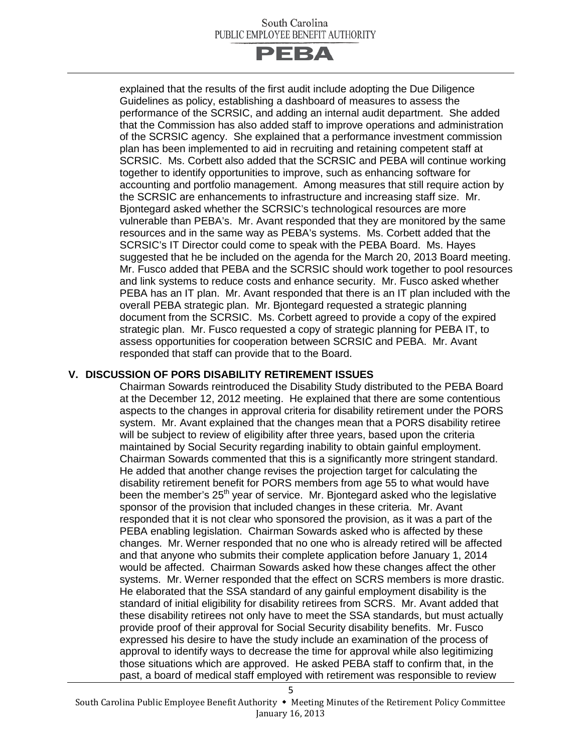

explained that the results of the first audit include adopting the Due Diligence Guidelines as policy, establishing a dashboard of measures to assess the performance of the SCRSIC, and adding an internal audit department. She added that the Commission has also added staff to improve operations and administration of the SCRSIC agency. She explained that a performance investment commission plan has been implemented to aid in recruiting and retaining competent staff at SCRSIC. Ms. Corbett also added that the SCRSIC and PEBA will continue working together to identify opportunities to improve, such as enhancing software for accounting and portfolio management. Among measures that still require action by the SCRSIC are enhancements to infrastructure and increasing staff size. Mr. Bjontegard asked whether the SCRSIC's technological resources are more vulnerable than PEBA's. Mr. Avant responded that they are monitored by the same resources and in the same way as PEBA's systems. Ms. Corbett added that the SCRSIC's IT Director could come to speak with the PEBA Board. Ms. Hayes suggested that he be included on the agenda for the March 20, 2013 Board meeting. Mr. Fusco added that PEBA and the SCRSIC should work together to pool resources and link systems to reduce costs and enhance security. Mr. Fusco asked whether PEBA has an IT plan. Mr. Avant responded that there is an IT plan included with the overall PEBA strategic plan. Mr. Bjontegard requested a strategic planning document from the SCRSIC. Ms. Corbett agreed to provide a copy of the expired strategic plan. Mr. Fusco requested a copy of strategic planning for PEBA IT, to assess opportunities for cooperation between SCRSIC and PEBA. Mr. Avant responded that staff can provide that to the Board.

#### **V. DISCUSSION OF PORS DISABILITY RETIREMENT ISSUES**

Chairman Sowards reintroduced the Disability Study distributed to the PEBA Board at the December 12, 2012 meeting. He explained that there are some contentious aspects to the changes in approval criteria for disability retirement under the PORS system. Mr. Avant explained that the changes mean that a PORS disability retiree will be subject to review of eligibility after three years, based upon the criteria maintained by Social Security regarding inability to obtain gainful employment. Chairman Sowards commented that this is a significantly more stringent standard. He added that another change revises the projection target for calculating the disability retirement benefit for PORS members from age 55 to what would have been the member's  $25<sup>th</sup>$  year of service. Mr. Bjontegard asked who the legislative sponsor of the provision that included changes in these criteria. Mr. Avant responded that it is not clear who sponsored the provision, as it was a part of the PEBA enabling legislation. Chairman Sowards asked who is affected by these changes. Mr. Werner responded that no one who is already retired will be affected and that anyone who submits their complete application before January 1, 2014 would be affected. Chairman Sowards asked how these changes affect the other systems. Mr. Werner responded that the effect on SCRS members is more drastic. He elaborated that the SSA standard of any gainful employment disability is the standard of initial eligibility for disability retirees from SCRS. Mr. Avant added that these disability retirees not only have to meet the SSA standards, but must actually provide proof of their approval for Social Security disability benefits. Mr. Fusco expressed his desire to have the study include an examination of the process of approval to identify ways to decrease the time for approval while also legitimizing those situations which are approved. He asked PEBA staff to confirm that, in the past, a board of medical staff employed with retirement was responsible to review

5